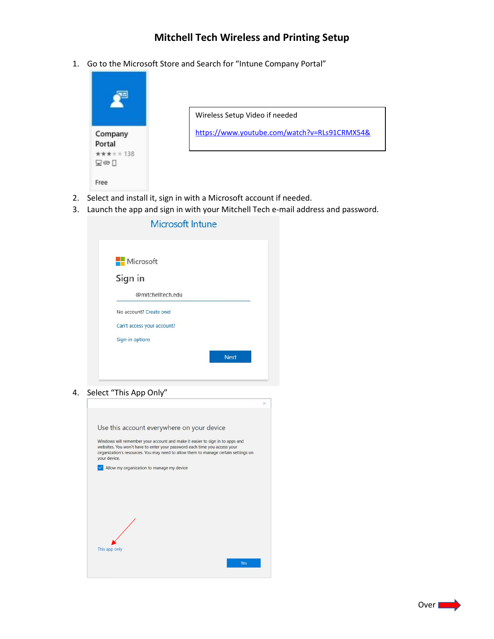## Mitchell Tech Wireless and Printing Setup

1. Go to the Microsoft Store and Search for "Intune Company Portal"



3. Launch the app and sign in with your Mitchell Tech e-mail address and password.

| Microsoft                  |  |  |
|----------------------------|--|--|
| Sign in                    |  |  |
| @mitchelltech.edu          |  |  |
| No account? Create one!    |  |  |
| Can't access your account? |  |  |
| Sign-in options            |  |  |

4. Select "This App Only"

| Use this account everywhere on your device                                                                                                                                                                                                                      |
|-----------------------------------------------------------------------------------------------------------------------------------------------------------------------------------------------------------------------------------------------------------------|
| Windows will remember your account and make it easier to sign in to apps and<br>websites. You won't have to enter your password each time you access your<br>organization's resources. You may need to allow them to manage certain settings on<br>your device. |
| Allow my organization to manage my device                                                                                                                                                                                                                       |
|                                                                                                                                                                                                                                                                 |
|                                                                                                                                                                                                                                                                 |
|                                                                                                                                                                                                                                                                 |
|                                                                                                                                                                                                                                                                 |
|                                                                                                                                                                                                                                                                 |
|                                                                                                                                                                                                                                                                 |
| This app only                                                                                                                                                                                                                                                   |
| Yes                                                                                                                                                                                                                                                             |